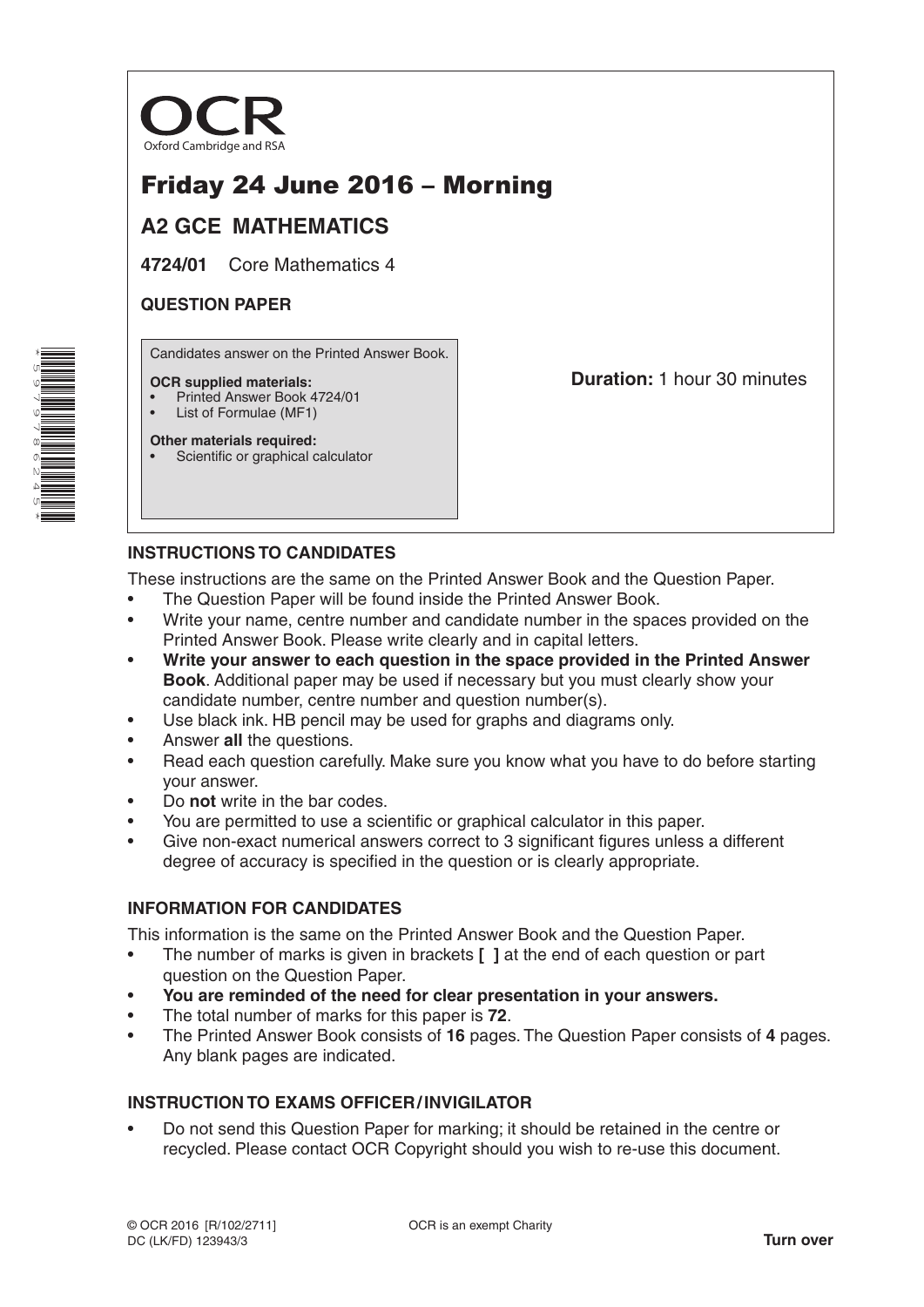

# Friday 24 June 2016 – Morning

## **A2 GCE MATHEMATICS**

**4724/01** Core Mathematics 4

## **QUESTION PAPER**

Candidates answer on the Printed Answer Book.

#### **OCR supplied materials:**

- Printed Answer Book 4724/01
- List of Formulae (MF1)

**Other materials required:** Scientific or graphical calculator **Duration:** 1 hour 30 minutes

## **INSTRUCTIONS TO CANDIDATES**

These instructions are the same on the Printed Answer Book and the Question Paper.

- The Question Paper will be found inside the Printed Answer Book.
- Write your name, centre number and candidate number in the spaces provided on the Printed Answer Book. Please write clearly and in capital letters.
- **Write your answer to each question in the space provided in the Printed Answer Book**. Additional paper may be used if necessary but you must clearly show your candidate number, centre number and question number(s).
- Use black ink. HB pencil may be used for graphs and diagrams only.
- Answer **all** the questions.
- Read each question carefully. Make sure you know what you have to do before starting your answer.
- Do **not** write in the bar codes.
- You are permitted to use a scientific or graphical calculator in this paper.
- Give non-exact numerical answers correct to 3 significant figures unless a different degree of accuracy is specified in the question or is clearly appropriate.

## **INFORMATION FOR CANDIDATES**

This information is the same on the Printed Answer Book and the Question Paper.

- The number of marks is given in brackets **[ ]** at the end of each question or part question on the Question Paper.
- **You are reminded of the need for clear presentation in your answers.**
- The total number of marks for this paper is **72**.
- The Printed Answer Book consists of **16** pages. The Question Paper consists of **4** pages. Any blank pages are indicated.

## **INSTRUCTION TO EXAMS OFFICER/INVIGILATOR**

• Do not send this Question Paper for marking; it should be retained in the centre or recycled. Please contact OCR Copyright should you wish to re-use this document.

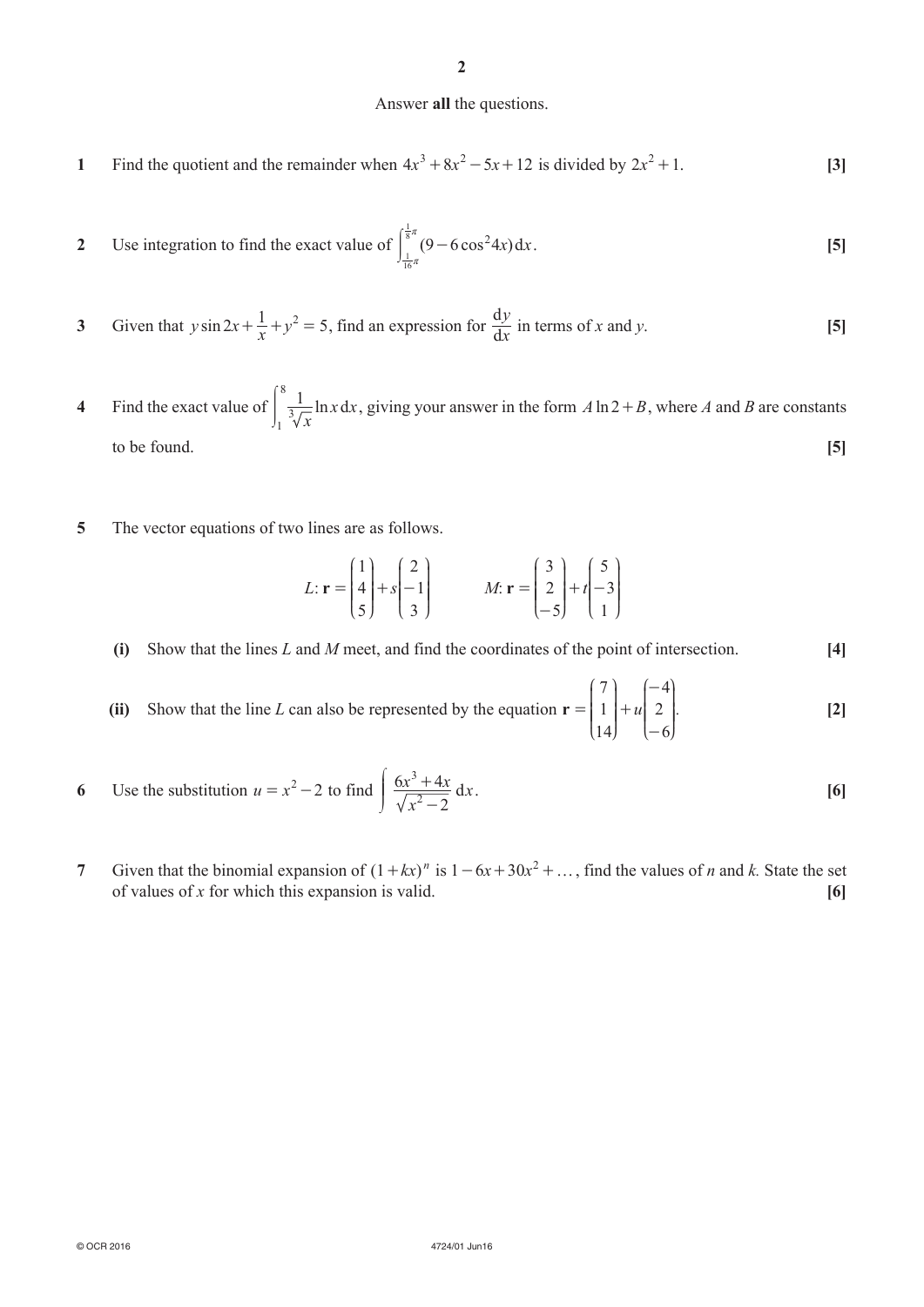#### Answer **all** the questions.

**1** Find the quotient and the remainder when  $4x^3 + 8x^2 - 5x + 12$  is divided by  $2x^2 + 1$ . [3]

2 Use integration to find the exact value of 
$$
\int_{\frac{1}{16}\pi}^{\frac{1}{8}\pi} (9 - 6 \cos^2 4x) dx.
$$
 [5]

- **3** Given that  $y \sin 2x + \frac{1}{x} + y^2 = 5$ , find an expression for  $\frac{d}{d}$ *x*  $\frac{y}{x}$  in terms of *x* and *y*. **[5]**
- **4** Find the exact value of  $\frac{1}{3}$   $\frac{1}{6}$  ln x d *x x x* 1  $\overline{\frac{3}{1}}$ 8  $\frac{1}{3\pi}$  ln x dx, giving your answer in the form  $A \ln 2 + B$ , where A and B are constants to be found. **[5]**
- **5** The vector equations of two lines are as follows.

$$
L: \mathbf{r} = \begin{pmatrix} 1 \\ 4 \\ 5 \end{pmatrix} + s \begin{pmatrix} 2 \\ -1 \\ 3 \end{pmatrix} \qquad M: \mathbf{r} = \begin{pmatrix} 3 \\ 2 \\ -5 \end{pmatrix} + t \begin{pmatrix} 5 \\ -3 \\ 1 \end{pmatrix}
$$

**(i)** Show that the lines *L* and *M* meet, and find the coordinates of the point of intersection. **[4]** 

- **(ii)** Show that the line *L* can also be represented by the equation  $\mathbf{r} = |1| + u$ 7 1 14 4 2 6  $= | 1 | +$ - -  $\overline{1}$ L  $\mathsf{l}$  $\parallel$  $\overline{1}$ L  $\mathsf I$  $\mid$  $\overline{\phantom{a}}$  $\cdot$ O  $\overline{\phantom{a}}$  $\overline{a}$  $\mathcal{I}$ O  $\overline{\phantom{a}}$ *.* **[2]**
- **6** Use the substitution  $u = x^2 2$  to find  $\frac{6x^2 + 4x}{2}$  d *x*  $\frac{x^3+4x}{x^2-2} dx$  $6x^3 + 4$ 2 3 -  $\int 6x^3 +$  $\overline{J}$  $\frac{6x + 4x}{\sqrt{2}} dx$ . [6]
- **7** Given that the binomial expansion of  $(1 + kx)^n$  is  $1 6x + 30x^2 + ...$ , find the values of *n* and *k*. State the set of values of *x* for which this expansion is valid. **[6]**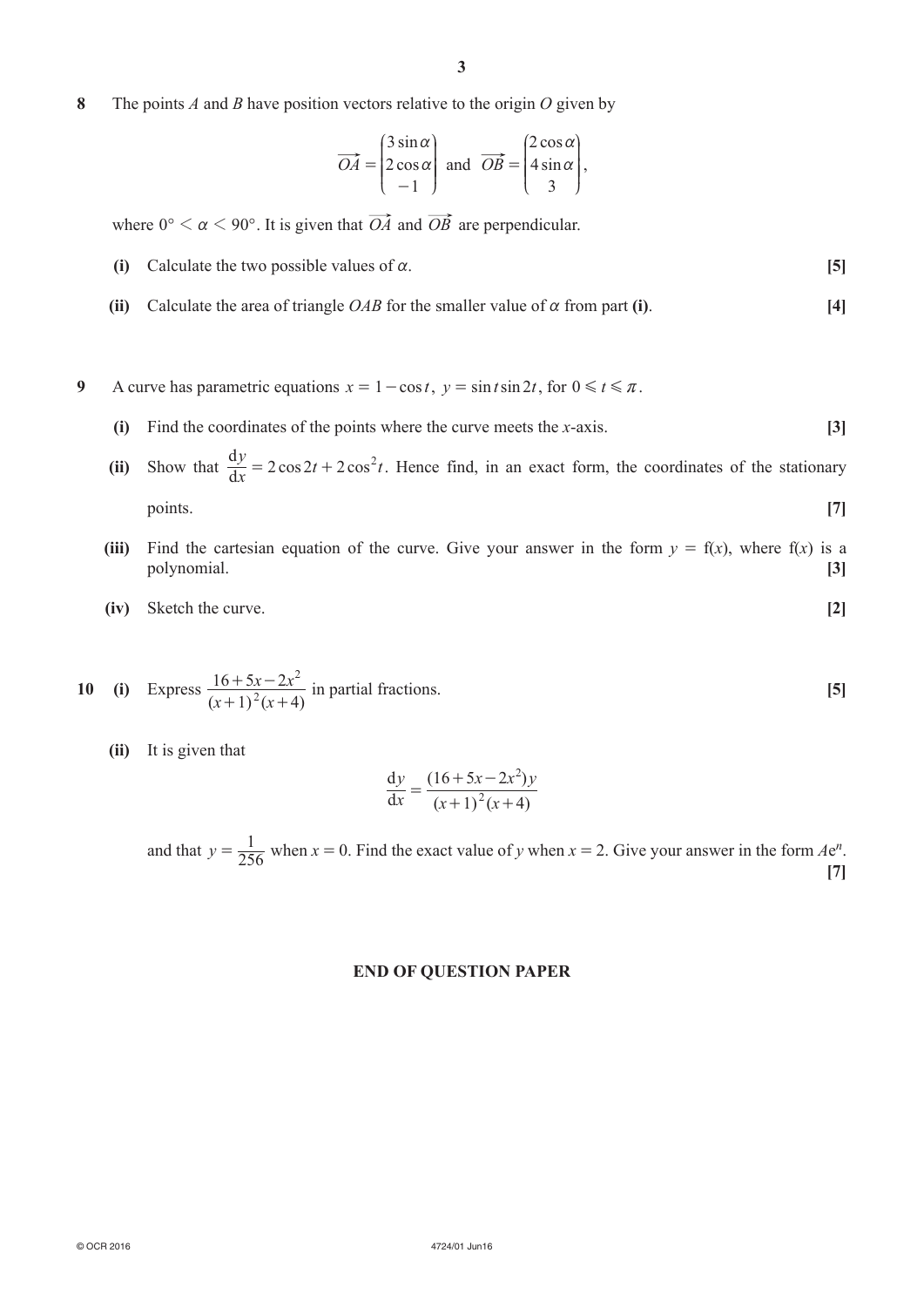**8**  The points *A* and *B* have position vectors relative to the origin *O* given by

$$
\overrightarrow{OA} = \begin{pmatrix} 3\sin\alpha \\ 2\cos\alpha \\ -1 \end{pmatrix} \text{ and } \overrightarrow{OB} = \begin{pmatrix} 2\cos\alpha \\ 4\sin\alpha \\ 3 \end{pmatrix},
$$

where  $0^{\circ} < \alpha < 90^{\circ}$ . It is given that  $\overrightarrow{OA}$  and  $\overrightarrow{OB}$  are perpendicular.

- **(i)** Calculate the two possible values of  $\alpha$ . **[5]**
- **(ii)** Calculate the area of triangle *OAB* for the smaller value of  $\alpha$  from part **(i)**. [4]
- **9** A curve has parametric equations  $x = 1 \cos t$ ,  $y = \sin t \sin 2t$ , for  $0 \le t \le \pi$ .
	- **(i)** Find the coordinates of the points where the curve meets the *x*-axis. **[3]**
- **(ii)** Show that  $\frac{d}{d}$  $\frac{dy}{dt} = 2\cos 2t + 2\cos \theta$  $\frac{y}{x}$  = 2*cos* 2*t* + 2*cos*<sup>2</sup>*t*. Hence find, in an exact form, the coordinates of the stationary points. **[7]**
	- **(iii)** Find the cartesian equation of the curve. Give your answer in the form  $y = f(x)$ , where  $f(x)$  is a polynomial. **[3]**
	- **(iv)** Sketch the curve. **[2]**

10 (i) Express 
$$
\frac{16+5x-2x^2}{(x+1)^2(x+4)}
$$
 in partial fractions.

 **(ii)**  It is given that

$$
\frac{dy}{dx} = \frac{(16+5x-2x^2)y}{(x+1)^2(x+4)}
$$

and that  $y = \frac{1}{256}$  when  $x = 0$ . Find the exact value of *y* when  $x = 2$ . Give your answer in the form  $Ae^n$ . **[7]**

#### **END OF QUESTION PAPER**